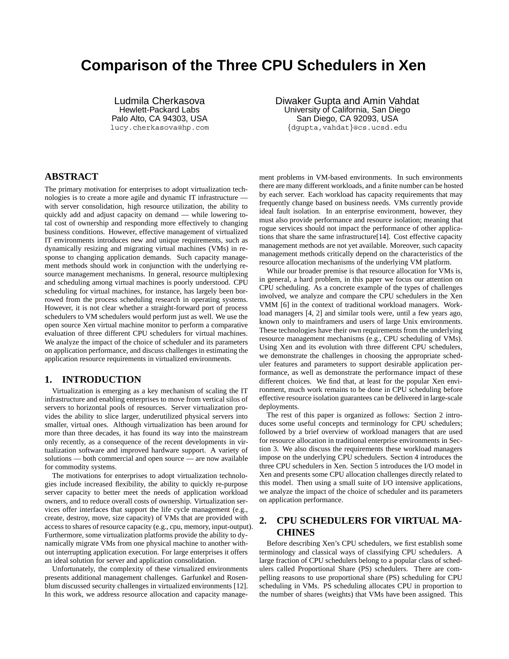# **Comparison of the Three CPU Schedulers in Xen**

Ludmila Cherkasova Hewlett-Packard Labs Palo Alto, CA 94303, USA lucy.cherkasova@hp.com Diwaker Gupta and Amin Vahdat University of California, San Diego San Diego, CA 92093, USA *{*dgupta,vahdat*}*@cs.ucsd.edu

## **ABSTRACT**

The primary motivation for enterprises to adopt virtualization technologies is to create a more agile and dynamic IT infrastructure with server consolidation, high resource utilization, the ability to quickly add and adjust capacity on demand — while lowering total cost of ownership and responding more effectively to changing business conditions. However, effective management of virtualized IT environments introduces new and unique requirements, such as dynamically resizing and migrating virtual machines (VMs) in response to changing application demands. Such capacity management methods should work in conjunction with the underlying resource management mechanisms. In general, resource multiplexing and scheduling among virtual machines is poorly understood. CPU scheduling for virtual machines, for instance, has largely been borrowed from the process scheduling research in operating systems. However, it is not clear whether a straight-forward port of process schedulers to VM schedulers would perform just as well. We use the open source Xen virtual machine monitor to perform a comparative evaluation of three different CPU schedulers for virtual machines. We analyze the impact of the choice of scheduler and its parameters on application performance, and discuss challenges in estimating the application resource requirements in virtualized environments.

## **1. INTRODUCTION**

Virtualization is emerging as a key mechanism of scaling the IT infrastructure and enabling enterprises to move from vertical silos of servers to horizontal pools of resources. Server virtualization provides the ability to slice larger, underutilized physical servers into smaller, virtual ones. Although virtualization has been around for more than three decades, it has found its way into the mainstream only recently, as a consequence of the recent developments in virtualization software and improved hardware support. A variety of solutions — both commercial and open source — are now available for commodity systems.

The motivations for enterprises to adopt virtualization technologies include increased flexibility, the ability to quickly re-purpose server capacity to better meet the needs of application workload owners, and to reduce overall costs of ownership. Virtualization services offer interfaces that support the life cycle management (e.g., create, destroy, move, size capacity) of VMs that are provided with access to shares of resource capacity (e.g., cpu, memory, input-output). Furthermore, some virtualization platforms provide the ability to dynamically migrate VMs from one physical machine to another without interrupting application execution. For large enterprises it offers an ideal solution for server and application consolidation.

Unfortunately, the complexity of these virtualized environments presents additional management challenges. Garfunkel and Rosenblum discussed security challenges in virtualized environments [12]. In this work, we address resource allocation and capacity management problems in VM-based environments. In such environments there are many different workloads, and a finite number can be hosted by each server. Each workload has capacity requirements that may frequently change based on business needs. VMs currently provide ideal fault isolation. In an enterprise environment, however, they must also provide performance and resource isolation; meaning that rogue services should not impact the performance of other applications that share the same infrastructure[14]. Cost effective capacity management methods are not yet available. Moreover, such capacity management methods critically depend on the characteristics of the resource allocation mechanisms of the underlying VM platform.

While our broader premise is that resource allocation for VMs is, in general, a hard problem, in this paper we focus our attention on CPU scheduling. As a concrete example of the types of challenges involved, we analyze and compare the CPU schedulers in the Xen VMM [6] in the context of traditional workload managers. Workload managers [4, 2] and similar tools were, until a few years ago, known only to mainframers and users of large Unix environments. These technologies have their own requirements from the underlying resource management mechanisms (e.g., CPU scheduling of VMs). Using Xen and its evolution with three different CPU schedulers, we demonstrate the challenges in choosing the appropriate scheduler features and parameters to support desirable application performance, as well as demonstrate the performance impact of these different choices. We find that, at least for the popular Xen environment, much work remains to be done in CPU scheduling before effective resource isolation guarantees can be delivered in large-scale deployments.

The rest of this paper is organized as follows: Section 2 introduces some useful concepts and terminology for CPU schedulers; followed by a brief overview of workload managers that are used for resource allocation in traditional enterprise environments in Section 3. We also discuss the requirements these workload managers impose on the underlying CPU schedulers. Section 4 introduces the three CPU schedulers in Xen. Section 5 introduces the I/O model in Xen and presents some CPU allocation challenges directly related to this model. Then using a small suite of I/O intensive applications, we analyze the impact of the choice of scheduler and its parameters on application performance.

# **2. CPU SCHEDULERS FOR VIRTUAL MA-CHINES**

Before describing Xen's CPU schedulers, we first establish some terminology and classical ways of classifying CPU schedulers. A large fraction of CPU schedulers belong to a popular class of schedulers called Proportional Share (PS) schedulers. There are compelling reasons to use proportional share (PS) scheduling for CPU scheduling in VMs. PS scheduling allocates CPU in proportion to the number of shares (weights) that VMs have been assigned. This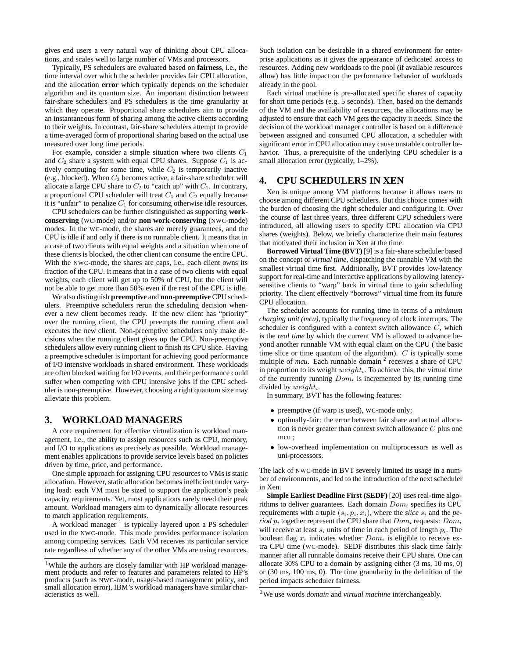gives end users a very natural way of thinking about CPU allocations, and scales well to large number of VMs and processors.

Typically, PS schedulers are evaluated based on **fairness**, i.e., the time interval over which the scheduler provides fair CPU allocation, and the allocation **error** which typically depends on the scheduler algorithm and its quantum size. An important distinction between fair-share schedulers and PS schedulers is the time granularity at which they operate. Proportional share schedulers aim to provide an instantaneous form of sharing among the active clients according to their weights. In contrast, fair-share schedulers attempt to provide a time-averaged form of proportional sharing based on the actual use measured over long time periods.

For example, consider a simple situation where two clients *C*<sup>1</sup> and  $C_2$  share a system with equal CPU shares. Suppose  $C_1$  is actively computing for some time, while  $C_2$  is temporarily inactive (e.g., blocked). When *C*<sup>2</sup> becomes active, a fair-share scheduler will allocate a large CPU share to  $C_2$  to "catch up" with  $C_1$ . In contrary, a proportional CPU scheduler will treat  $C_1$  and  $C_2$  equally because it is "unfair" to penalize  $C_1$  for consuming otherwise idle resources.

CPU schedulers can be further distinguished as supporting **workconserving** (WC-mode) and/or **non work-conserving** (NWC-mode) modes. In the WC-mode, the shares are merely guarantees, and the CPU is idle if and only if there is no runnable client. It means that in a case of two clients with equal weights and a situation when one of these clients is blocked, the other client can consume the entire CPU. With the NWC-mode, the shares are caps, i.e., each client owns its fraction of the CPU. It means that in a case of two clients with equal weights, each client will get up to 50% of CPU, but the client will not be able to get more than 50% even if the rest of the CPU is idle.

We also distinguish **preemptive** and **non-preemptive** CPU schedulers. Preemptive schedulers rerun the scheduling decision whenever a new client becomes ready. If the new client has "priority" over the running client, the CPU preempts the running client and executes the new client. Non-preemptive schedulers only make decisions when the running client gives up the CPU. Non-preemptive schedulers allow every running client to finish its CPU slice. Having a preemptive scheduler is important for achieving good performance of I/O intensive workloads in shared environment. These workloads are often blocked waiting for I/O events, and their performance could suffer when competing with CPU intensive jobs if the CPU scheduler is non-preemptive. However, choosing a right quantum size may alleviate this problem.

## **3. WORKLOAD MANAGERS**

A core requirement for effective virtualization is workload management, i.e., the ability to assign resources such as CPU, memory, and I/O to applications as precisely as possible. Workload management enables applications to provide service levels based on policies driven by time, price, and performance.

One simple approach for assigning CPU resources to VMs is static allocation. However, static allocation becomes inefficient under varying load: each VM must be sized to support the application's peak capacity requirements. Yet, most applications rarely need their peak amount. Workload managers aim to dynamically allocate resources to match application requirements.

A workload manager  $<sup>1</sup>$  is typically layered upon a PS scheduler</sup> used in the NWC-mode. This mode provides performance isolation among competing services. Each VM receives its particular service rate regardless of whether any of the other VMs are using resources.

Such isolation can be desirable in a shared environment for enterprise applications as it gives the appearance of dedicated access to resources. Adding new workloads to the pool (if available resources allow) has little impact on the performance behavior of workloads already in the pool.

Each virtual machine is pre-allocated specific shares of capacity for short time periods (e.g. 5 seconds). Then, based on the demands of the VM and the availability of resources, the allocations may be adjusted to ensure that each VM gets the capacity it needs. Since the decision of the workload manager controller is based on a difference between assigned and consumed CPU allocation, a scheduler with significant error in CPU allocation may cause unstable controller behavior. Thus, a prerequisite of the underlying CPU scheduler is a small allocation error (typically, 1–2%).

#### **4. CPU SCHEDULERS IN XEN**

Xen is unique among VM platforms because it allows users to choose among different CPU schedulers. But this choice comes with the burden of choosing the right scheduler and configuring it. Over the course of last three years, three different CPU schedulers were introduced, all allowing users to specify CPU allocation via CPU shares (weights). Below, we briefly characterize their main features that motivated their inclusion in Xen at the time.

**Borrowed Virtual Time (BVT)** [9] is a fair-share scheduler based on the concept of *virtual time*, dispatching the runnable VM with the smallest virtual time first. Additionally, BVT provides low-latency support for real-time and interactive applications by allowing latencysensitive clients to "warp" back in virtual time to gain scheduling priority. The client effectively "borrows" virtual time from its future CPU allocation.

The scheduler accounts for running time in terms of a *minimum charging unit (mcu)*, typically the frequency of clock interrupts. The scheduler is configured with a context switch allowance *C*, which is the *real time* by which the current VM is allowed to advance beyond another runnable VM with equal claim on the CPU ( the basic time slice or time quantum of the algorithm). *C* is typically some multiple of *mcu*. Each runnable domain <sup>2</sup> receives a share of CPU in proportion to its weight *weighti*. To achieve this, the virtual time of the currently running *Dom<sup>i</sup>* is incremented by its running time divided by *weighti*.

In summary, BVT has the following features:

- preemptive (if warp is used), WC-mode only;
- *•* optimally-fair: the error between fair share and actual allocation is never greater than context switch allowance *C* plus one mcu:
- *•* low-overhead implementation on multiprocessors as well as uni-processors.

The lack of NWC-mode in BVT severely limited its usage in a number of environments, and led to the introduction of the next scheduler in Xen.

**Simple Earliest Deadline First (SEDF)** [20] uses real-time algorithms to deliver guarantees. Each domain *Dom<sup>i</sup>* specifies its CPU requirements with a tuple  $(s_i, p_i, x_i)$ , where the *slice*  $s_i$  and the *period p<sup>i</sup>* together represent the CPU share that *Dom<sup>i</sup>* requests: *Dom<sup>i</sup>* will receive at least  $s_i$  units of time in each period of length  $p_i$ . The boolean flag  $x_i$  indicates whether  $Dom_i$  is eligible to receive extra CPU time (WC-mode). SEDF distributes this slack time fairly manner after all runnable domains receive their CPU share. One can allocate 30% CPU to a domain by assigning either (3 ms, 10 ms, 0) or (30 ms, 100 ms, 0). The time granularity in the definition of the period impacts scheduler fairness.

<sup>&</sup>lt;sup>1</sup>While the authors are closely familiar with HP workload management products and refer to features and parameters related to HP's products (such as NWC-mode, usage-based management policy, and small allocation error), IBM's workload managers have similar characteristics as well.

<sup>2</sup> We use words *domain* and *virtual machine* interchangeably.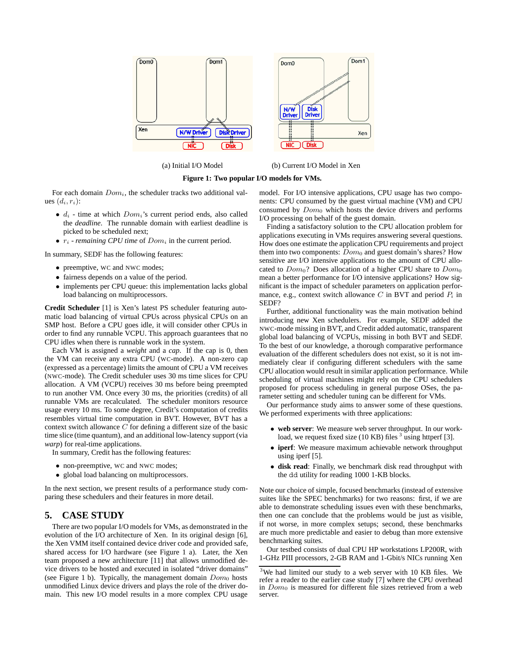

(a) Initial I/O Model (b) Current I/O Model in Xen

**Figure 1: Two popular I/O models for VMs.**

For each domain *Domi*, the scheduler tracks two additional values  $(d_i, r_i)$ :

- *• d<sup>i</sup>* time at which *Domi*'s current period ends, also called the *deadline*. The runnable domain with earliest deadline is picked to be scheduled next;
- *• r<sup>i</sup> remaining CPU time* of *Dom<sup>i</sup>* in the current period.

In summary, SEDF has the following features:

- preemptive, WC and NWC modes;
- fairness depends on a value of the period.
- implements per CPU queue: this implementation lacks global load balancing on multiprocessors.

**Credit Scheduler** [1] is Xen's latest PS scheduler featuring automatic load balancing of virtual CPUs across physical CPUs on an SMP host. Before a CPU goes idle, it will consider other CPUs in order to find any runnable VCPU. This approach guarantees that no CPU idles when there is runnable work in the system.

Each VM is assigned a *weight* and a *cap*. If the cap is 0, then the VM can receive any extra CPU (WC-mode). A non-zero cap (expressed as a percentage) limits the amount of CPU a VM receives (NWC-mode). The Credit scheduler uses 30 ms time slices for CPU allocation. A VM (VCPU) receives 30 ms before being preempted to run another VM. Once every 30 ms, the priorities (credits) of all runnable VMs are recalculated. The scheduler monitors resource usage every 10 ms. To some degree, Credit's computation of credits resembles virtual time computation in BVT. However, BVT has a context switch allowance *C* for defining a different size of the basic time slice (time quantum), and an additional low-latency support (via *warp*) for real-time applications.

In summary, Credit has the following features:

- non-preemptive, WC and NWC modes;
- *•* global load balancing on multiprocessors.

In the next section, we present results of a performance study comparing these schedulers and their features in more detail.

## **5. CASE STUDY**

There are two popular I/O models for VMs, as demonstrated in the evolution of the I/O architecture of Xen. In its original design [6], the Xen VMM itself contained device driver code and provided safe, shared access for I/O hardware (see Figure 1 a). Later, the Xen team proposed a new architecture [11] that allows unmodified device drivers to be hosted and executed in isolated "driver domains" (see Figure 1 b). Typically, the management domain *Dom*<sup>0</sup> hosts unmodified Linux device drivers and plays the role of the driver domain. This new I/O model results in a more complex CPU usage

model. For I/O intensive applications, CPU usage has two components: CPU consumed by the guest virtual machine (VM) and CPU consumed by  $Dom_0$  which hosts the device drivers and performs I/O processing on behalf of the guest domain.

Finding a satisfactory solution to the CPU allocation problem for applications executing in VMs requires answering several questions. How does one estimate the application CPU requirements and project them into two components: *Dom*<sup>0</sup> and guest domain's shares? How sensitive are I/O intensive applications to the amount of CPU allocated to *Dom*0? Does allocation of a higher CPU share to *Dom*<sup>0</sup> mean a better performance for I/O intensive applications? How significant is the impact of scheduler parameters on application performance, e.g., context switch allowance  $C$  in BVT and period  $P_i$  in SEDF?

Further, additional functionality was the main motivation behind introducing new Xen schedulers. For example, SEDF added the NWC-mode missing in BVT, and Credit added automatic, transparent global load balancing of VCPUs, missing in both BVT and SEDF. To the best of our knowledge, a thorough comparative performance evaluation of the different schedulers does not exist, so it is not immediately clear if configuring different schedulers with the same CPU allocation would result in similar application performance. While scheduling of virtual machines might rely on the CPU schedulers proposed for process scheduling in general purpose OSes, the parameter setting and scheduler tuning can be different for VMs.

Our performance study aims to answer some of these questions. We performed experiments with three applications:

- *•* **web server**: We measure web server throughput. In our workload, we request fixed size (10 KB) files  $3$  using httperf [3].
- *•* **iperf**: We measure maximum achievable network throughput using iperf [5].
- *•* **disk read**: Finally, we benchmark disk read throughput with the dd utility for reading 1000 1-KB blocks.

Note our choice of simple, focused benchmarks (instead of extensive suites like the SPEC benchmarks) for two reasons: first, if we are able to demonstrate scheduling issues even with these benchmarks, then one can conclude that the problems would be just as visible, if not worse, in more complex setups; second, these benchmarks are much more predictable and easier to debug than more extensive benchmarking suites.

Our testbed consists of dual CPU HP workstations LP200R, with 1-GHz PIII processors, 2-GB RAM and 1-Gbit/s NICs running Xen

 $3$ We had limited our study to a web server with 10 KB files. We refer a reader to the earlier case study [7] where the CPU overhead in *Dom*<sup>0</sup> is measured for different file sizes retrieved from a web server.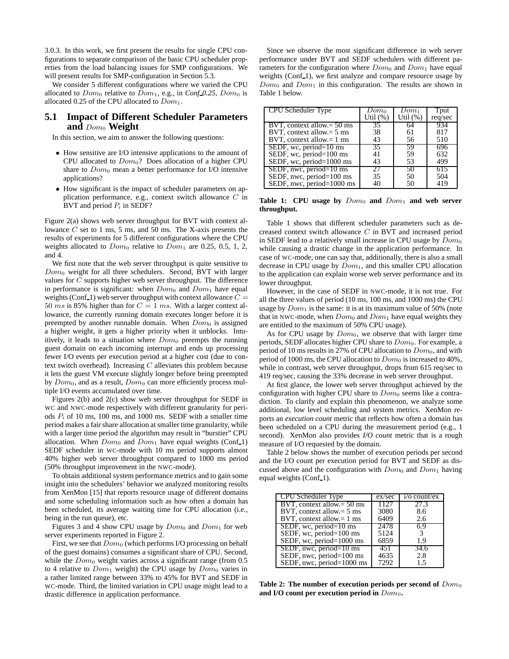3.0.3. In this work, we first present the results for single CPU configurations to separate comparison of the basic CPU scheduler properties from the load balancing issues for SMP configurations. We will present results for SMP-configuration in Section 5.3.

We consider 5 different configurations where we varied the CPU allocated to  $Dom_0$  relative to  $Dom_1$ , e.g., in *Conf* 0.25,  $Dom_0$  is allocated 0.25 of the CPU allocated to  $Dom_1$ .

### **5.1 Impact of Different Scheduler Parameters and** *Dom*<sup>0</sup> **Weight**

In this section, we aim to answer the following questions:

- *•* How sensitive are I/O intensive applications to the amount of CPU allocated to *Dom*0? Does allocation of a higher CPU share to *Dom*<sup>0</sup> mean a better performance for I/O intensive applications?
- *•* How significant is the impact of scheduler parameters on application performance, e.g., context switch allowance *C* in BVT and period *P<sup>i</sup>* in SEDF?

Figure 2(a) shows web server throughput for BVT with context allowance *C* set to 1 ms, 5 ms, and 50 ms. The X-axis presents the results of experiments for 5 different configurations where the CPU weights allocated to  $Dom_0$  relative to  $Dom_1$  are 0.25, 0.5, 1, 2, and 4.

We first note that the web server throughput is quite sensitive to *Dom*<sup>0</sup> weight for all three schedulers. Second, BVT with larger values for *C* supports higher web server throughput. The difference in performance is significant: when  $Dom_0$  and  $Dom_1$  have equal weights (Conf $\Box$ 1) web server throughput with context allowance  $C =$ 50  $ms$  is 85% higher than for  $C = 1$   $ms$ . With a larger context allowance, the currently running domain executes longer before it is preempted by another runnable domain. When  $Dom_0$  is assigned a higher weight, it gets a higher priority when it unblocks. Intuitively, it leads to a situation where  $Dom_0$  preempts the running guest domain on each incoming interrupt and ends up processing fewer I/O events per execution period at a higher cost (due to context switch overhead). Increasing *C* alleviates this problem because it lets the guest VM execute slightly longer before being preempted by  $Dom_0$ , and as a result,  $Dom_0$  can more efficiently process multiple I/O events accumulated over time.

Figures 2(b) and 2(c) show web server throughput for SEDF in WC and NWC-mode respectively with different granularity for periods *P<sup>i</sup>* of 10 ms, 100 ms, and 1000 ms. SEDF with a smaller time period makes a fair share allocation at smaller time granularity, while with a larger time period the algorithm may result in "burstier" CPU allocation. When  $Dom_0$  and  $Dom_1$  have equal weights (Conf.1) SEDF scheduler in WC-mode with 10 ms period supports almost 40% higher web server throughput compared to 1000 ms period (50% throughput improvement in the NWC-mode).

To obtain additional system performance metrics and to gain some insight into the schedulers' behavior we analyzed monitoring results from XenMon [15] that reports resource usage of different domains and some scheduling information such as how often a domain has been scheduled, its average waiting time for CPU allocation (i.e., being in the run queue), etc.

Figures 3 and 4 show CPU usage by  $Dom_0$  and  $Dom_1$  for web server experiments reported in Figure 2.

First, we see that  $Dom_0$  (which performs I/O processing on behalf of the guest domains) consumes a significant share of CPU. Second, while the  $Dom_0$  weight varies across a significant range (from  $0.5$ ) to 4 relative to *Dom*<sup>1</sup> weight) the CPU usage by *Dom*<sup>0</sup> varies in a rather limited range between 33% to 45% for BVT and SEDF in WC-mode. Third, the limited variation in CPU usage might lead to a drastic difference in application performance.

Since we observe the most significant difference in web server performance under BVT and SEDF schedulers with different parameters for the configuration where  $Dom_0$  and  $Dom_1$  have equal weights (Conf<sub>-1</sub>), we first analyze and compare resource usage by *Dom*<sup>0</sup> and *Dom*<sup>1</sup> in this configuration. The results are shown in Table 1 below.

| CPU Scheduler Type           | $Dom_0$      | $Dom_1$     | <b>T</b> put |
|------------------------------|--------------|-------------|--------------|
|                              | Util $(\% )$ | Util $(\%)$ | req/sec      |
| BVT, context allow $= 50$ ms | 35           | 64          | 934          |
| BVT, context allow. $=$ 5 ms | 38           | 61          | 817          |
| BVT, context allow. $= 1$ ms | 43           | 56          | 510          |
| SEDF, wc, period=10 ms       | 35           | 59          | 696          |
| SEDF, wc, period=100 ms      | 41           | 59          | 632          |
| SEDF, wc, period=1000 ms     | 43           | 53          | 499          |
| SEDF, nwc, period=10 ms      |              | 50          | 615          |
| SEDF, nwc, period=100 ms     | 35           | 50          | 504          |
| SEDF, nwc, period=1000 ms    |              | 50          | 419          |

**Table 1: CPU usage by** *Dom*<sup>0</sup> **and** *Dom*<sup>1</sup> **and web server throughput.**

Table 1 shows that different scheduler parameters such as decreased context switch allowance *C* in BVT and increased period in SEDF lead to a relatively small increase in CPU usage by  $Dom_0$ while causing a drastic change in the application performance. In case of WC-mode, one can say that, additionally, there is also a small decrease in CPU usage by *Dom*1, and this smaller CPU allocation to the application can explain worse web server performance and its lower throughput.

However, in the case of SEDF in NWC-mode, it is not true. For all the three values of period (10 ms, 100 ms, and 1000 ms) the CPU usage by  $Dom_1$  is the same: it is at its maximum value of 50% (note that in NWC-mode, when  $Dom_0$  and  $Dom_1$  have equal weights they are entitled to the maximum of 50% CPU usage).

As for CPU usage by  $Dom_0$ , we observe that with larger time periods, SEDF allocates higher CPU share to *Dom*0. For example, a period of 10 ms results in 27% of CPU allocation to *Dom*0, and with period of 1000 ms, the CPU allocation to  $Dom_0$  is increased to 40%, while in contrast, web server throughput, drops from 615 req/sec to 419 req/sec, causing the 33% decrease in web server throughput.

At first glance, the lower web server throughput achieved by the configuration with higher CPU share to  $Dom_0$  seems like a contradiction. To clarify and explain this phenomenon, we analyze some additional, low level scheduling and system metrics. XenMon reports an *execution count* metric that reflects how often a domain has been scheduled on a CPU during the measurement period (e.g., 1 second). XenMon also provides *I/O count* metric that is a rough measure of I/O requested by the domain.

Table 2 below shows the number of execution periods per second and the I/O count per execution period for BVT and SEDF as discussed above and the configuration with *Dom*<sup>0</sup> and *Dom*<sup>1</sup> having equal weights (Conf. 1).

| <b>CPU Scheduler Type</b>         | ex/sec | $1$ /o count/ex |
|-----------------------------------|--------|-----------------|
| $BVT$ , context allow. = 50 ms    | 1127   | 27.3            |
| BVT, context allow. $= 5$ ms      | 3080   | 8.6             |
| BVT, context allow $= 1$ ms       | 6409   | 2.6             |
| SEDF, wc, period= $10 \text{ ms}$ | 2478   | 6.9             |
| SEDF, wc, period=100 ms           | 5124   |                 |
| SEDF, wc, period=1000 ms          | 6859   | 1.9             |
| SEDF, nwc, period=10 ms           | 451    | 34.6            |
| SEDF, nwc, period=100 ms          | 4635   | 2.8             |
| SEDF, nwc, period=1000 ms         | 7292   | 1.5             |

**Table 2: The number of execution periods per second of** *Dom*<sup>0</sup> and I/O count per execution period in  $Dom_0$ .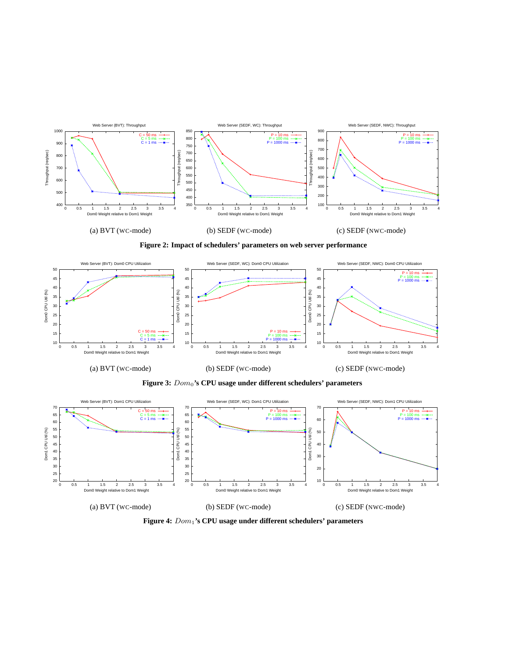









**Figure 4:** *Dom*1**'s CPU usage under different schedulers' parameters**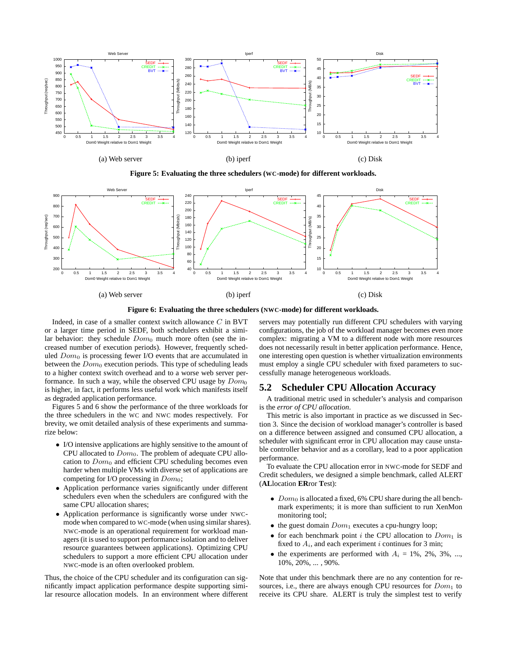

**Figure 5: Evaluating the three schedulers (WC-mode) for different workloads.**



**Figure 6: Evaluating the three schedulers (NWC-mode) for different workloads.**

Indeed, in case of a smaller context switch allowance *C* in BVT or a larger time period in SEDF, both schedulers exhibit a similar behavior: they schedule  $Dom_0$  much more often (see the increased number of execution periods). However, frequently scheduled  $Dom_0$  is processing fewer I/O events that are accumulated in between the *Dom*<sub>0</sub> execution periods. This type of scheduling leads to a higher context switch overhead and to a worse web server performance. In such a way, while the observed CPU usage by *Dom*<sup>0</sup> is higher, in fact, it performs less useful work which manifests itself as degraded application performance.

Figures 5 and 6 show the performance of the three workloads for the three schedulers in the WC and NWC modes respectively. For brevity, we omit detailed analysis of these experiments and summarize below:

- *•* I/O intensive applications are highly sensitive to the amount of CPU allocated to  $Dom_0$ . The problem of adequate CPU allocation to *Dom*<sup>0</sup> and efficient CPU scheduling becomes even harder when multiple VMs with diverse set of applications are competing for I/O processing in *Dom*0;
- *•* Application performance varies significantly under different schedulers even when the schedulers are configured with the same CPU allocation shares;
- *•* Application performance is significantly worse under NWCmode when compared to WC-mode (when using similar shares). NWC-mode is an operational requirement for workload managers (it is used to support performance isolation and to deliver resource guarantees between applications). Optimizing CPU schedulers to support a more efficient CPU allocation under NWC-mode is an often overlooked problem.

Thus, the choice of the CPU scheduler and its configuration can significantly impact application performance despite supporting similar resource allocation models. In an environment where different

servers may potentially run different CPU schedulers with varying configurations, the job of the workload manager becomes even more complex: migrating a VM to a different node with more resources does not necessarily result in better application performance. Hence, one interesting open question is whether virtualization environments must employ a single CPU scheduler with fixed parameters to successfully manage heterogeneous workloads.

#### **5.2 Scheduler CPU Allocation Accuracy**

A traditional metric used in scheduler's analysis and comparison is the *error of CPU allocation*.

This metric is also important in practice as we discussed in Section 3. Since the decision of workload manager's controller is based on a difference between assigned and consumed CPU allocation, a scheduler with significant error in CPU allocation may cause unstable controller behavior and as a corollary, lead to a poor application performance.

To evaluate the CPU allocation error in NWC-mode for SEDF and Credit schedulers, we designed a simple benchmark, called ALERT (**AL**location **ER**ror **T**est):

- *Dom*<sup>0</sup> is allocated a fixed, 6% CPU share during the all benchmark experiments; it is more than sufficient to run XenMon monitoring tool;
- the guest domain  $Dom_1$  executes a cpu-hungry loop;
- for each benchmark point *i* the CPU allocation to  $Dom_1$  is fixed to  $A_i$ , and each experiment *i* continues for 3 min;
- the experiments are performed with  $A_i = 1\%$ , 2%, 3%, ..., 10%, 20%, ... , 90%.

Note that under this benchmark there are no any contention for resources, i.e., there are always enough CPU resources for  $Dom<sub>1</sub>$  to receive its CPU share. ALERT is truly the simplest test to verify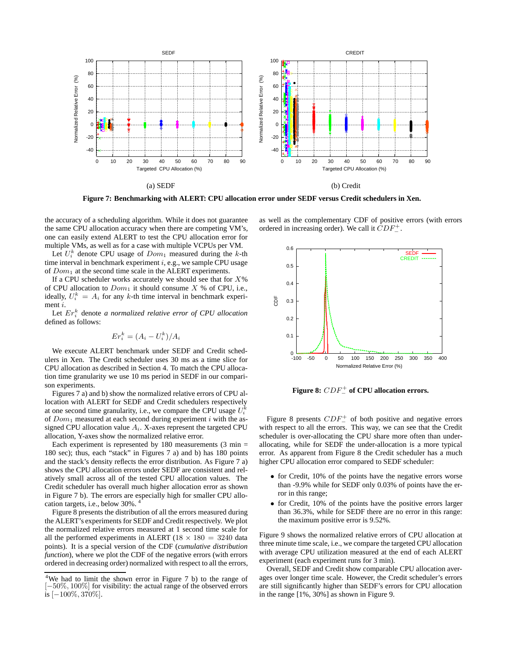

**Figure 7: Benchmarking with ALERT: CPU allocation error under SEDF versus Credit schedulers in Xen.**

the accuracy of a scheduling algorithm. While it does not guarantee the same CPU allocation accuracy when there are competing VM's, one can easily extend ALERT to test the CPU allocation error for multiple VMs, as well as for a case with multiple VCPUs per VM.

Let  $U_i^k$  denote CPU usage of  $Dom_1$  measured during the *k*-th time interval in benchmark experiment *i*, e.g., we sample CPU usage of *Dom*<sup>1</sup> at the second time scale in the ALERT experiments.

If a CPU scheduler works accurately we should see that for *X*% of CPU allocation to  $Dom_1$  it should consume *X* % of CPU, i.e., ideally,  $U_i^k = A_i$  for any *k*-th time interval in benchmark experiment *i*.

Let  $Er_i^k$  denote *a normalized relative error of CPU allocation* defined as follows:

$$
Er_i^k = (A_i - U_i^k)/A_i
$$

We execute ALERT benchmark under SEDF and Credit schedulers in Xen. The Credit scheduler uses 30 ms as a time slice for CPU allocation as described in Section 4. To match the CPU allocation time granularity we use 10 ms period in SEDF in our comparison experiments.

Figures 7 a) and b) show the normalized relative errors of CPU allocation with ALERT for SEDF and Credit schedulers respectively at one second time granularity, i.e., we compare the CPU usage *U<sup>k</sup> i* of *Dom*<sup>1</sup> measured at each second during experiment *i* with the assigned CPU allocation value *Ai*. X-axes represent the targeted CPU allocation, Y-axes show the normalized relative error.

Each experiment is represented by  $180$  measurements  $(3 \text{ min} =$ 180 sec); thus, each "stack" in Figures 7 a) and b) has 180 points and the stack's density reflects the error distribution. As Figure 7 a) shows the CPU allocation errors under SEDF are consistent and relatively small across all of the tested CPU allocation values. The Credit scheduler has overall much higher allocation error as shown in Figure 7 b). The errors are especially high for smaller CPU allocation targets, i.e., below 30%. <sup>4</sup>

Figure 8 presents the distribution of all the errors measured during the ALERT's experiments for SEDF and Credit respectively. We plot the normalized relative errors measured at 1 second time scale for all the performed experiments in ALERT ( $18 \times 180 = 3240$  data points). It is a special version of the CDF (*cumulative distribution function*), where we plot the CDF of the negative errors (with errors ordered in decreasing order) normalized with respect to all the errors,



**Figure 8:** *CDF* <sup>+</sup> *<sup>−</sup>* **of CPU allocation errors.**

Figure 8 presents  $CDF_{-}^{+}$  of both positive and negative errors with respect to all the errors. This way, we can see that the Credit scheduler is over-allocating the CPU share more often than underallocating, while for SEDF the under-allocation is a more typical error. As apparent from Figure 8 the Credit scheduler has a much higher CPU allocation error compared to SEDF scheduler:

- for Credit, 10% of the points have the negative errors worse than -9.9% while for SEDF only 0.03% of points have the error in this range;
- for Credit, 10% of the points have the positive errors larger than 36.3%, while for SEDF there are no error in this range: the maximum positive error is 9.52%.

Figure 9 shows the normalized relative errors of CPU allocation at three minute time scale, i.e., we compare the targeted CPU allocation with average CPU utilization measured at the end of each ALERT experiment (each experiment runs for 3 min).

Overall, SEDF and Credit show comparable CPU allocation averages over longer time scale. However, the Credit scheduler's errors are still significantly higher than SEDF's errors for CPU allocation in the range [1%, 30%] as shown in Figure 9.

as well as the complementary CDF of positive errors (with errors ordered in increasing order). We call it  $CDF_{-}^{+}$ .

<sup>&</sup>lt;sup>4</sup>We had to limit the shown error in Figure 7 b) to the range of [*−*50%*,* 100%] for visibility: the actual range of the observed errors is [*−*100%*,* 370%].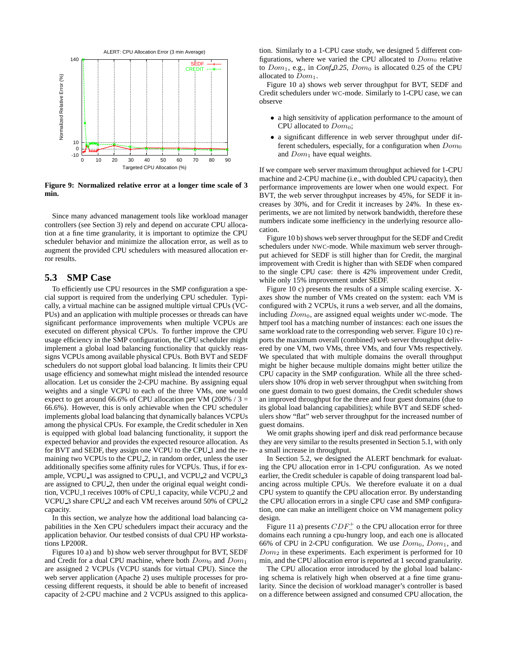

**Figure 9: Normalized relative error at a longer time scale of 3 min.**

Since many advanced management tools like workload manager controllers (see Section 3) rely and depend on accurate CPU allocation at a fine time granularity, it is important to optimize the CPU scheduler behavior and minimize the allocation error, as well as to augment the provided CPU schedulers with measured allocation error results.

#### **5.3 SMP Case**

To efficiently use CPU resources in the SMP configuration a special support is required from the underlying CPU scheduler. Typically, a virtual machine can be assigned multiple virtual CPUs (VC-PUs) and an application with multiple processes or threads can have significant performance improvements when multiple VCPUs are executed on different physical CPUs. To further improve the CPU usage efficiency in the SMP configuration, the CPU scheduler might implement a global load balancing functionality that quickly reassigns VCPUs among available physical CPUs. Both BVT and SEDF schedulers do not support global load balancing. It limits their CPU usage efficiency and somewhat might mislead the intended resource allocation. Let us consider the 2-CPU machine. By assigning equal weights and a single VCPU to each of the three VMs, one would expect to get around 66.6% of CPU allocation per VM (200% /  $3 =$ 66.6%). However, this is only achievable when the CPU scheduler implements global load balancing that dynamically balances VCPUs among the physical CPUs. For example, the Credit scheduler in Xen is equipped with global load balancing functionality, it support the expected behavior and provides the expected resource allocation. As for BVT and SEDF, they assign one VCPU to the CPU<sub>-1</sub> and the remaining two VCPUs to the CPU<sub>-2</sub>, in random order, unless the user additionally specifies some affinity rules for VCPUs. Thus, if for example, VCPU 1 was assigned to CPU 1, and VCPU 2 and VCPU 3 are assigned to CPU<sub>-2</sub>, then under the original equal weight condition, VCPU<sub>-1</sub> receives 100% of CPU<sub>-1</sub> capacity, while VCPU<sub>-2</sub> and VCPU<sub>-3</sub> share CPU<sub>-2</sub> and each VM receives around 50% of CPU<sub>-2</sub> capacity.

In this section, we analyze how the additional load balancing capabilities in the Xen CPU schedulers impact their accuracy and the application behavior. Our testbed consists of dual CPU HP workstations LP200R.

Figures 10 a) and b) show web server throughput for BVT, SEDF and Credit for a dual CPU machine, where both  $Dom_0$  and  $Dom_1$ are assigned 2 VCPUs (VCPU stands for virtual CPU). Since the web server application (Apache 2) uses multiple processes for processing different requests, it should be able to benefit of increased capacity of 2-CPU machine and 2 VCPUs assigned to this applica-

tion. Similarly to a 1-CPU case study, we designed 5 different configurations, where we varied the CPU allocated to  $Dom_0$  relative to *Dom*1, e.g., in *Conf 0.25*, *Dom*<sup>0</sup> is allocated 0.25 of the CPU allocated to  $Dom_1$ .

Figure 10 a) shows web server throughput for BVT, SEDF and Credit schedulers under WC-mode. Similarly to 1-CPU case, we can observe

- *•* a high sensitivity of application performance to the amount of CPU allocated to *Dom*0;
- *•* a significant difference in web server throughput under different schedulers, especially, for a configuration when *Dom*<sup>0</sup> and *Dom*<sub>1</sub> have equal weights.

If we compare web server maximum throughput achieved for 1-CPU machine and 2-CPU machine (i.e., with doubled CPU capacity), then performance improvements are lower when one would expect. For BVT, the web server throughput increases by 45%, for SEDF it increases by 30%, and for Credit it increases by 24%. In these experiments, we are not limited by network bandwidth, therefore these numbers indicate some inefficiency in the underlying resource allocation.

Figure 10 b) shows web server throughput for the SEDF and Credit schedulers under NWC-mode. While maximum web server throughput achieved for SEDF is still higher than for Credit, the marginal improvement with Credit is higher than with SEDF when compared to the single CPU case: there is 42% improvement under Credit, while only 15% improvement under SEDF.

Figure 10 c) presents the results of a simple scaling exercise. Xaxes show the number of VMs created on the system: each VM is configured with 2 VCPUs, it runs a web server, and all the domains, including *Dom*0, are assigned equal weights under WC-mode. The httperf tool has a matching number of instances: each one issues the same workload rate to the corresponding web server. Figure 10 c) reports the maximum overall (combined) web server throughput delivered by one VM, two VMs, three VMs, and four VMs respectively. We speculated that with multiple domains the overall throughput might be higher because multiple domains might better utilize the CPU capacity in the SMP configuration. While all the three schedulers show 10% drop in web server throughput when switching from one guest domain to two guest domains, the Credit scheduler shows an improved throughput for the three and four guest domains (due to its global load balancing capabilities); while BVT and SEDF schedulers show "flat" web server throughput for the increased number of guest domains.

We omit graphs showing iperf and disk read performance because they are very similar to the results presented in Section 5.1, with only a small increase in throughput.

In Section 5.2, we designed the ALERT benchmark for evaluating the CPU allocation error in 1-CPU configuration. As we noted earlier, the Credit scheduler is capable of doing transparent load balancing across multiple CPUs. We therefore evaluate it on a dual CPU system to quantify the CPU allocation error. By understanding the CPU allocation errors in a single CPU case and SMP configuration, one can make an intelligent choice on VM management policy design.

Figure 11 a) presents  $CDF_{-}^{+}$  o the CPU allocation error for three domains each running a cpu-hungry loop, and each one is allocated 66% of CPU in 2-CPU configuration. We use *Dom*0, *Dom*1, and *Dom*<sup>2</sup> in these experiments. Each experiment is performed for 10 min, and the CPU allocation error is reported at 1 second granularity.

The CPU allocation error introduced by the global load balancing schema is relatively high when observed at a fine time granularity. Since the decision of workload manager's controller is based on a difference between assigned and consumed CPU allocation, the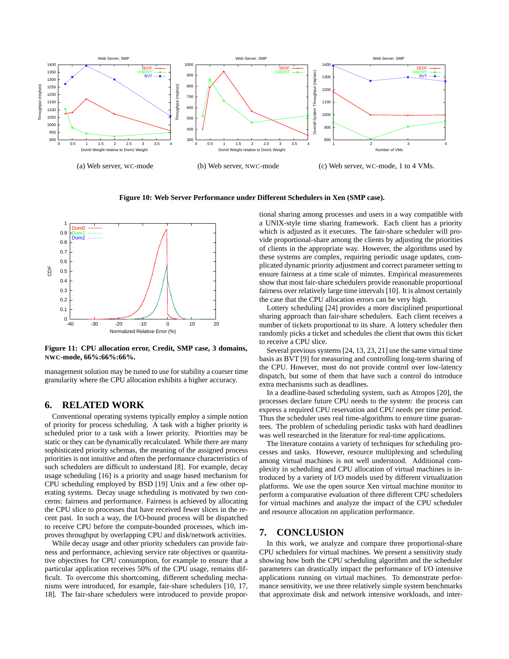

**Figure 10: Web Server Performance under Different Schedulers in Xen (SMP case).**



**Figure 11: CPU allocation error, Credit, SMP case, 3 domains, NWC-mode, 66%:66%:66%.**

management solution may be tuned to use for stability a coarser time granularity where the CPU allocation exhibits a higher accuracy.

### **6. RELATED WORK**

Conventional operating systems typically employ a simple notion of priority for process scheduling. A task with a higher priority is scheduled prior to a task with a lower priority. Priorities may be static or they can be dynamically recalculated. While there are many sophisticated priority schemas, the meaning of the assigned process priorities is not intuitive and often the performance characteristics of such schedulers are difficult to understand [8]. For example, decay usage scheduling [16] is a priority and usage based mechanism for CPU scheduling employed by BSD [19] Unix and a few other operating systems. Decay usage scheduling is motivated by two concerns: fairness and performance. Fairness is achieved by allocating the CPU slice to processes that have received fewer slices in the recent past. In such a way, the I/O-bound process will be dispatched to receive CPU before the compute-bounded processes, which improves throughput by overlapping CPU and disk/network activities.

While decay usage and other priority schedulers can provide fairness and performance, achieving service rate objectives or quantitative objectives for CPU consumption, for example to ensure that a particular application receives 50% of the CPU usage, remains difficult. To overcome this shortcoming, different scheduling mechanisms were introduced, for example, fair-share schedulers [10, 17, 18]. The fair-share schedulers were introduced to provide propor-

tional sharing among processes and users in a way compatible with a UNIX-style time sharing framework. Each client has a priority which is adjusted as it executes. The fair-share scheduler will provide proportional-share among the clients by adjusting the priorities of clients in the appropriate way. However, the algorithms used by these systems are complex, requiring periodic usage updates, complicated dynamic priority adjustment and correct parameter setting to ensure fairness at a time scale of minutes. Empirical measurements show that most fair-share schedulers provide reasonable proportional fairness over relatively large time intervals [10]. It is almost certainly the case that the CPU allocation errors can be very high.

Lottery scheduling [24] provides a more disciplined proportional sharing approach than fair-share schedulers. Each client receives a number of tickets proportional to its share. A lottery scheduler then randomly picks a ticket and schedules the client that owns this ticket to receive a CPU slice.

Several previous systems [24, 13, 23, 21] use the same virtual time basis as BVT [9] for measuring and controlling long-term sharing of the CPU. However, most do not provide control over low-latency dispatch, but some of them that have such a control do introduce extra mechanisms such as deadlines.

In a deadline-based scheduling system, such as Atropos [20], the processes declare future CPU needs to the system: the process can express a required CPU reservation and CPU needs per time period. Thus the scheduler uses real time-algorithms to ensure time guarantees. The problem of scheduling periodic tasks with hard deadlines was well researched in the literature for real-time applications.

The literature contains a variety of techniques for scheduling processes and tasks. However, resource multiplexing and scheduling among virtual machines is not well understood. Additional complexity in scheduling and CPU allocation of virtual machines is introduced by a variety of I/O models used by different virtualization platforms. We use the open source Xen virtual machine monitor to perform a comparative evaluation of three different CPU schedulers for virtual machines and analyze the impact of the CPU scheduler and resource allocation on application performance.

#### **7. CONCLUSION**

In this work, we analyze and compare three proportional-share CPU schedulers for virtual machines. We present a sensitivity study showing how both the CPU scheduling algorithm and the scheduler parameters can drastically impact the performance of I/O intensive applications running on virtual machines. To demonstrate performance sensitivity, we use three relatively simple system benchmarks that approximate disk and network intensive workloads, and inter